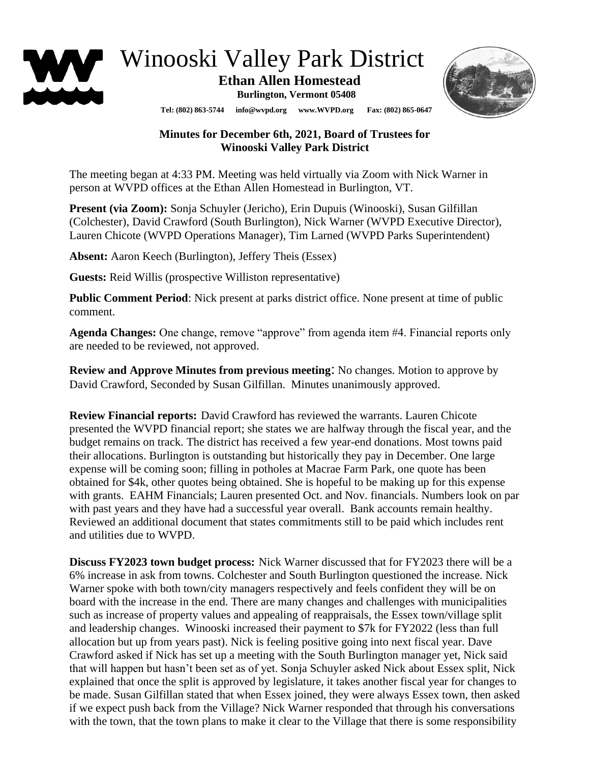

## Winooski Valley Park District

## **Ethan Allen Homestead**

**Burlington, Vermont 05408**



**Tel: (802) 863-5744 info@wvpd.org [www.WVPD.org](http://www.wvpd.org/) Fax: (802) 865-0647** 

## **Minutes for December 6th, 2021, Board of Trustees for Winooski Valley Park District**

The meeting began at 4:33 PM. Meeting was held virtually via Zoom with Nick Warner in person at WVPD offices at the Ethan Allen Homestead in Burlington, VT.

**Present (via Zoom):** Sonja Schuyler (Jericho), Erin Dupuis (Winooski), Susan Gilfillan (Colchester), David Crawford (South Burlington), Nick Warner (WVPD Executive Director), Lauren Chicote (WVPD Operations Manager), Tim Larned (WVPD Parks Superintendent)

**Absent:** Aaron Keech (Burlington), Jeffery Theis (Essex)

**Guests:** Reid Willis (prospective Williston representative)

**Public Comment Period**: Nick present at parks district office. None present at time of public comment.

**Agenda Changes:** One change, remove "approve" from agenda item #4. Financial reports only are needed to be reviewed, not approved.

**Review and Approve Minutes from previous meeting**: No changes. Motion to approve by David Crawford, Seconded by Susan Gilfillan. Minutes unanimously approved.

**Review Financial reports:** David Crawford has reviewed the warrants. Lauren Chicote presented the WVPD financial report; she states we are halfway through the fiscal year, and the budget remains on track. The district has received a few year-end donations. Most towns paid their allocations. Burlington is outstanding but historically they pay in December. One large expense will be coming soon; filling in potholes at Macrae Farm Park, one quote has been obtained for \$4k, other quotes being obtained. She is hopeful to be making up for this expense with grants. EAHM Financials; Lauren presented Oct. and Nov. financials. Numbers look on par with past years and they have had a successful year overall. Bank accounts remain healthy. Reviewed an additional document that states commitments still to be paid which includes rent and utilities due to WVPD.

**Discuss FY2023 town budget process:** Nick Warner discussed that for FY2023 there will be a 6% increase in ask from towns. Colchester and South Burlington questioned the increase. Nick Warner spoke with both town/city managers respectively and feels confident they will be on board with the increase in the end. There are many changes and challenges with municipalities such as increase of property values and appealing of reappraisals, the Essex town/village split and leadership changes. Winooski increased their payment to \$7k for FY2022 (less than full allocation but up from years past). Nick is feeling positive going into next fiscal year. Dave Crawford asked if Nick has set up a meeting with the South Burlington manager yet, Nick said that will happen but hasn't been set as of yet. Sonja Schuyler asked Nick about Essex split, Nick explained that once the split is approved by legislature, it takes another fiscal year for changes to be made. Susan Gilfillan stated that when Essex joined, they were always Essex town, then asked if we expect push back from the Village? Nick Warner responded that through his conversations with the town, that the town plans to make it clear to the Village that there is some responsibility